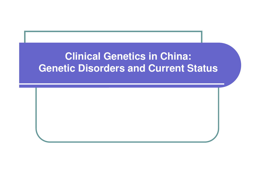## **Clinical Genetics in China:Genetic Disorders and Current Status**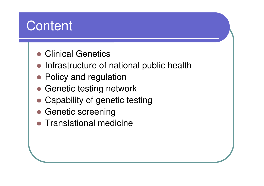# **Content**

- Clinical Genetics
- **Infrastructure of national public health**
- Policy and regulation
- Genetic testing network
- Capability of genetic testing
- **Genetic screening**
- **Translational medicine**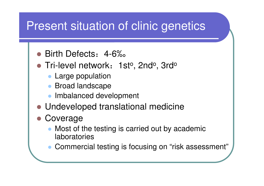## Present situation of clinic genetics

- $\bullet$ Birth Defects:4-6‰
- Tri-level network: 1st<sup>o</sup>, 2nd<sup>o</sup>, 3rd<sup>o</sup>
	- **Large population**
	- **Broad landscape**
	- **Imbalanced development**
- Undeveloped translational medicine
- $\bullet$  Coverage
	- Most of the testing is carried out by academic laboratories
	- Commercial testing is focusing on "risk assessment"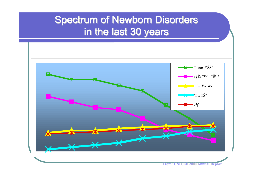## **Spectrum of Newborn Disorders** in the last 30 years

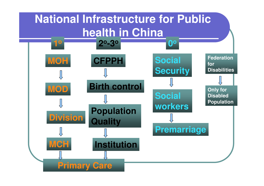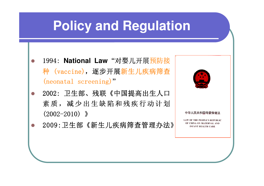# **Policy and Regulation**

- $\bullet$ ● 1994: National Law "对婴儿开展预防接 种(vaccine),逐步开展新生儿疾病筛查<br>(www.trl.com/waccines),"  $(\hbox{neonatal}\;\text{screening})$  **"**
- $\bullet$ ● 2002: 卫生部、残联《中国提高出生人口 素 质, 减 少 出 生 缺 陷 和 残 疾 行 动 计 划<br>(2009.2010) 、  $(2002 - 2010)$  »
- 2009:卫生部《新生儿疾病筛查管理办法》  $\bullet$



中华人民共和国母婴保健法

LAW OF THE PEOPLE'S REPUBLIC OF CHINA ON MATERNAL AND **INFANT HEALTH CARE**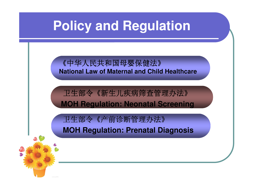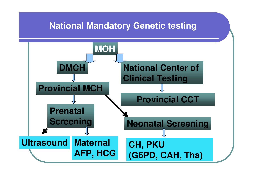### **National Mandatory Genetic testing**

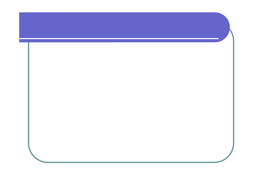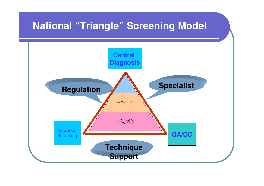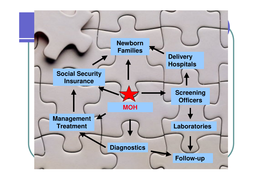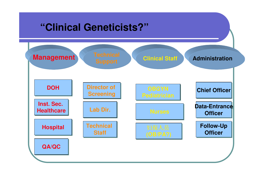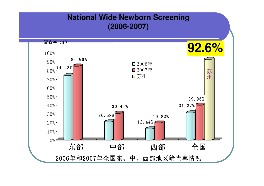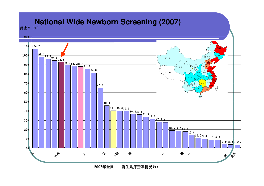#### 筛查率(%)**National Wide Newborn Screening (2007)**



2007年全国ⳕ新生儿筛查率情况(%)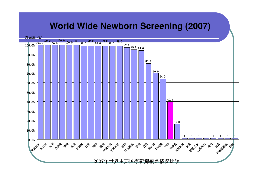### **World Wide Newborn Screening (2007)**

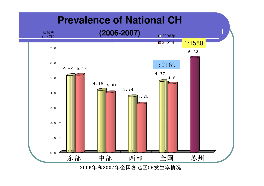

2006年和2007年全国各地区CH发生率情况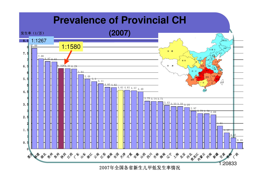### **Prevalence of Provincial CH**

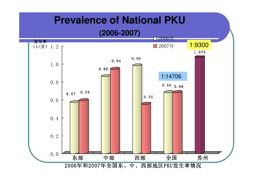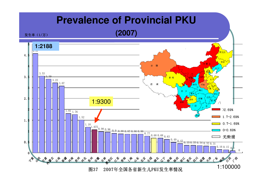

图37 2007年全国各省新生儿PKU发生率情况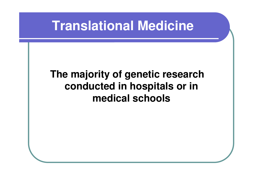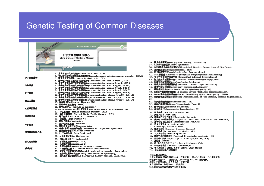#### **Genetic Testing of Common Diseases**

|          | <b>Welcome To Our Website</b>                                                                                                                                                                             |     |                                                 |
|----------|-----------------------------------------------------------------------------------------------------------------------------------------------------------------------------------------------------------|-----|-------------------------------------------------|
|          | 北京大学医学遗传中心<br>Peking University Center of Medical<br>Genetics                                                                                                                                             |     | 36. 婴儿<br>37. Alp<br>38. GJB                    |
|          |                                                                                                                                                                                                           |     | 39. 苯丙                                          |
| 分子细胞遗传   | 1. 弗里德赖希共济失调(Friederich Ataxia 1, FA)<br>2.齿状核红核苍白球路易斯核萎縮症(dentatorubral-pallidoluysian atrophy. DRPLA)<br>3. 强直性肌营养不良(myotonic dystrophy, DM)<br>4. 遗传性脊髓小脑性共济失调1型(spinocerebellar ataxia type 1, SCA-1) |     | 40. 肝豆<br>41. G6P<br>42. 先天<br>43. 肾上<br>44. 甲基 |
| 细胞遗传     | 5.還传性脊髓小脑性共济失调2型(spinocerebellar ataxia type 2. SCA-2)<br>6. 遗传性脊髓小脑性共济失调3型(spinocerebellar ataxia type3, SCA-3)<br>7. 遺传性脊髓小脑性共济失调6型(spinocerebellar ataxia type6, SCA-6)                                |     | 45. 神経<br>46. 遗传                                |
| 分子诊断     | 8. 遗传性脊髓小脑性共济失调7型(spinocerebellar ataxia type7, SCA-7)<br>9. 遣传性脊髓小脑性共济失调8型(spinocerebellar ataxia type8, SCA-8)<br>10. 遗传性脊髓小脑性共济失调10型 (spinocerebellar ataxia type10, SCA-10)                           |     | 47. 线粒<br>48. X筐<br>49. Leb                     |
| 新生儿筛查    | 11. 遗传性脊髓小脑性共济失调12型 (spinocerebellar ataxia type12, SCA-12)<br>12. 遗传性脊髓小脑性共济失调17型 (spinocerebellar ataxia type17, SCA-17)<br>13. 享廷顿 (Huntington disease, HD)                                            | RP) | 50. 视网<br>51. 视网<br>52. 神経                      |
| 实验基因治疗   | 14. 延髓脊髓性肌萎缩(SBMA)<br>15. 脆性X综合征 (Fragile X syndrome)<br>16.Duchenne/Becker型肌营养不良 (Duchenne muscular dystrophy, DMD)<br>17. 脊肌萎缩症 (spinal muscular atrophy, SMA)                                          |     | 53. 结节<br>54. 成骨                                |
| 神经遗传病    | 18. 腓骨肌萎缩症 (Charcot Marie Tooth disease, CMT)<br>19. 镰刀形贫血 (Sickle Cell Disease, SCD)<br>20. 凝血因子V缺乏(Factor V)                                                                                            |     | 55. 帕金<br>56. 肌张<br>57.肌阵<br>58. 先天             |
| 生化遗传     | 21. 肌张力障碍 (Dystonia)<br>22. 先天性无魟膜症 (Aniridia)<br>23. 核纤层蛋白综合征(Laminopathies)                                                                                                                             |     | 59. 還传<br>60. 软骨<br>61. Gau                     |
| 疾病检测诊断列表 | 24. 帕德-维利/安吉曼综合征 (Prader-Willi/Angelman syndrome)<br>25. 迪乔治综合症(DIGeorge syndrome)<br>26. 21三体综合症(Down Syndrome)<br>27. α地中海贫血 (α-thalasemia)                                                             |     | 62. 糖原<br>63. 粘多<br>64. 马凡<br>65. 家族            |
| 相关站点链接   | 28. β地中海贫血(β-thalasemia)<br>29. 甲型血友病(Hemophilia A)<br>30. 乙型血友病(Hemophilia B)                                                                                                                            |     | 66. 肥厚<br>67. 孤独<br>68. 科-1                     |
| 联系我们     | 31. 血管性假血友病 (Von Willebrand Disease)<br>32. X-連锁智力低下(X-linked Mental Retardation)<br>33. 假肥大性肌营养不良症(Pseudohypertrophic Muscular Dystrophy)                                                                |     | 69.卡尔<br>70. 染色<br>71. 多科                       |
|          | 34. 肢带型肌营养不良症(Limb-girdle Muscular Dystrophy)<br>35. 成人型多臺肾病(Adult Polycystic Kidney Disease, APKD/PKD1)                                                                                                  |     | 各样品的<br>分子诊断<br>先证者外<br>细胞分子                    |

- |,性多臺肾病(Polycystic Kidney, Infantile)
- ort综合征(Alport Syndrome)
- 32遗传性神经性耳聋(GJB2-related Genetic Sensorineural Deafness)
- **龍屎症(Phenylketonuria, PKU)**
- 状核变性(Hepatolenticular Degeneration)
- D缺陷症(Glucose-6-phosphate Dehydrogenase Deficiency)
- 性肾上腺皮质增生症(Congenital Adrenal hyperplasia)
- -腺脑白质营养不良 (X-linked Adrenoleukodystrophy,ALD)
- 病二酸血症(Methylamalonic Acidemia)
- 。<br>2元蜡样脂褐质储积症(Neuronal Ceroid Lipofuscinosis)
- .<br>|性脑白质病(Hereditary Leukoencephalopathy)<br>|体脑肌病(Mitochondrial Encephalomyopathy,ME)
- 
- 锁严重联合免疫缺陷(X-linked Severe Combined Immunodeficient)
- er遗传性视神经病变(Leber Hereditary Optic Neuropathy, LHON)
- 膿色素变性(Pigmentary Degeneration of the Retina, Retina Pigmentosia,
	-
- (膜母細胞瘤(Retinoblstoma, RB)
- 经任编I型(Neurofibromatosis Type I)
- 性硬化(Tuberous Sclerosis)
- 不全(Osteogenesis Imperfectas, OI)
- 
- :森病(Parkinson Disease, PD)
- (力障碍(Dystonia)
- 率性肌张力障碍(Myoclonic Dystonia)
- 性双侧输精管缺如(Congenital Bilateral Absence of Vas Deferens)
- |性精子生成障碍(Spermatogenic Failure)
- 发育不全(Achondroplasia)
- cher病(Gaucher Disease)
- 储积症(Glycogen Storage Disease)
- **糖病(Mucopolysaccharidosis, MPS)**
- L氏综合征(Marfan Syndrome)
- 【性高胆固醇血症(Familial Hypercholesterolemia, FH)
- 1性心肌病(Hypertrophic Cardiomyopathies, HCM)
- 症(Autism)
- 勒二氏综合征(Coffin-Lowry Syndrome, CLS)
- 《曼综合症(Kallmann Syndrome,KAL)
- 6体制备及G显带、C显带、N显带、SCE及微核制备
- 
- 峡病的淋巴细胞建库

#### 采集要求:

疾病:双亲外周血10ml, 肝素抗凝, 其中5ml提DNA, 5ml细胞培养; 周血10ml, 肝素抗凝, 其中5ml提DNA, 5ml细胞培养. 遗传检测: 外周血5ml ,肝素抗凝. 淋巴细胞建库: 外周血6ml, 肝素抗凝. 样品送北京大学医学遗传中心解剖楼230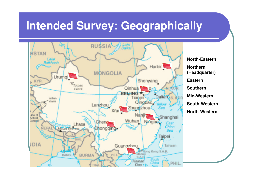## **Intended Survey: Geographically**

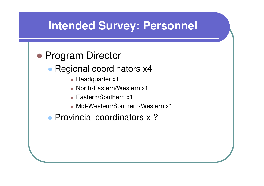## **Intended Survey: Personnel**

# Program Director

## • Regional coordinators x4

- Headquarter x1
- North-Eastern/Western x1
- Eastern/Southern x1
- Mid-Western/Southern-Western x1
- **Provincial coordinators x?**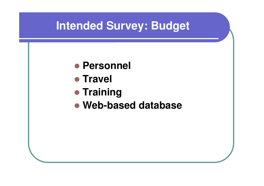## **Intended Survey: Budget**

- **Personnel**
- **Travel**
- **Training**
- **Web-based database**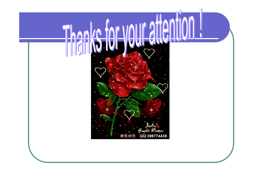